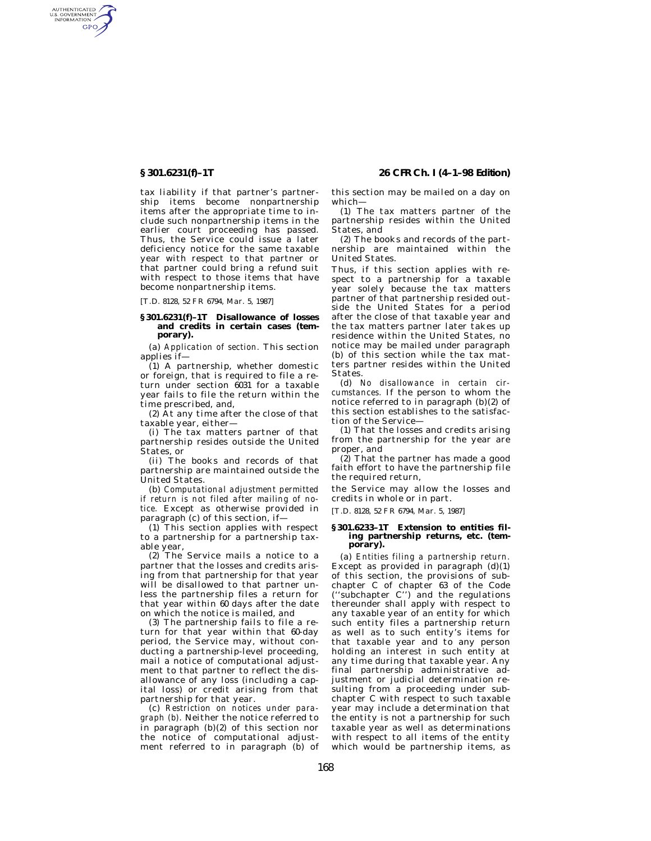AUTHENTICATED<br>U.S. GOVERNMENT<br>INFORMATION **GPO** 

> tax liability if that partner's partnership items become nonpartnership items after the appropriate time to include such nonpartnership items in the earlier court proceeding has passed. Thus, the Service could issue a later deficiency notice for the same taxable year with respect to that partner or that partner could bring a refund suit with respect to those items that have become nonpartnership items.

[T.D. 8128, 52 FR 6794, Mar. 5, 1987]

## **§ 301.6231(f)–1T Disallowance of losses and credits in certain cases (temporary).**

(a) *Application of section.* This section applies if—

(1) A partnership, whether domestic or foreign, that is required to file a return under section 6031 for a taxable year fails to file the return within the time prescribed, and,

(2) At any time after the close of that taxable year, either—

(i) The tax matters partner of that partnership resides outside the United States, or

(ii) The books and records of that partnership are maintained outside the United States.

(b) *Computational adjustment permitted if return is not filed after mailing of notice.* Except as otherwise provided in paragraph (c) of this section, if—

(1) This section applies with respect to a partnership for a partnership taxable year,

(2) The Service mails a notice to a partner that the losses and credits arising from that partnership for that year will be disallowed to that partner unless the partnership files a return for that year within 60 days after the date on which the notice is mailed, and

(3) The partnership fails to file a return for that year within that 60-day period, the Service may, without conducting a partnership-level proceeding, mail a notice of computational adjustment to that partner to reflect the disallowance of any loss (including a capital loss) or credit arising from that partnership for that year.

(c) *Restriction on notices under paragraph (b).* Neither the notice referred to in paragraph (b)(2) of this section nor the notice of computational adjustment referred to in paragraph (b) of

**§ 301.6231(f)–1T 26 CFR Ch. I (4–1–98 Edition)**

this section may be mailed on a day on which—

(1) The tax matters partner of the partnership resides within the United States, and

(2) The books and records of the partnership are maintained within the United States.

Thus, if this section applies with respect to a partnership for a taxable year solely because the tax matters partner of that partnership resided outside the United States for a period after the close of that taxable year and the tax matters partner later takes up residence within the United States, no notice may be mailed under paragraph (b) of this section while the tax matters partner resides within the United States.

(d) *No disallowance in certain circumstances.* If the person to whom the notice referred to in paragraph (b)(2) of this section establishes to the satisfaction of the Service—

(1) That the losses and credits arising from the partnership for the year are proper, and

(2) That the partner has made a good faith effort to have the partnership file the required return,

the Service may allow the losses and credits in whole or in part.

[T.D. 8128, 52 FR 6794, Mar. 5, 1987]

### **§ 301.6233–1T Extension to entities filing partnership returns, etc. (temporary).**

(a) *Entities filing a partnership return.* Except as provided in paragraph  $(d)(1)$ of this section, the provisions of subchapter C of chapter 63 of the Code (''subchapter C'') and the regulations thereunder shall apply with respect to any taxable year of an entity for which such entity files a partnership return as well as to such entity's items for that taxable year and to any person holding an interest in such entity at any time during that taxable year. Any final partnership administrative adjustment or judicial determination resulting from a proceeding under subchapter C with respect to such taxable year may include a determination that the entity is not a partnership for such taxable year as well as determinations with respect to all items of the entity which would be partnership items, as